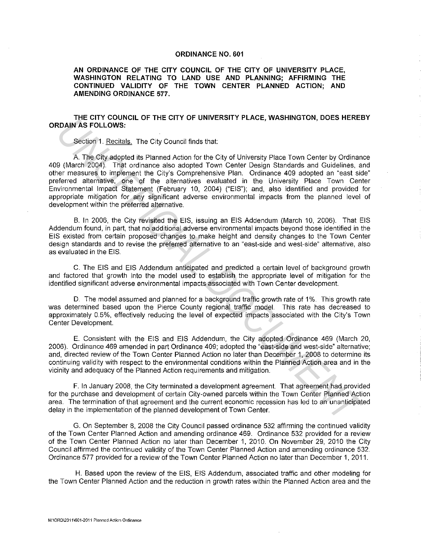## **ORDINANCE NO. 601**

**AN ORDINANCE OF THE CITY COUNCIL OF THE CITY OF UNIVERSITY PLACE, WASHINGTON RELATING TO LAND USE AND PLANNING; AFFIRMING THE CONTINUED VALIDITY OF THE TOWN CENTER PLANNED ACTION; AND AMENDING ORDINANCE 577.** 

## **THE CITY COUNCIL OF THE CITY OF UNIVERSITY PLACE, WASHINGTON, DOES HEREBY ORDAIN AS FOLLOWS:**

Section **1.** Recitals. The City Council finds that:

A. The City adopted its Planned Action for the City of University Place Town Center by Ordinance 409 (March 2004). That ordinance also adopted Town Center Design Standards and Guidelines, and other measures to implement the City's Comprehensive Plan. Ordinance 409 adopted an "east side" preferred alternative, one of the alternatives evaluated **in** the University Place Town Center Environmental Impact Statement (February 10, 2004) ("EIS"); and, also identified and provided for appropriate mitigation for any significant adverse environmental impacts from the planned level of development within the preferred alternative. **EXAMPLE CHIT COUNTRIGE CHIT CONTRIGE TRACE, WASHINGTON, DOCS HERE SERVING THE CHIT CONTRIGENT (SCIN). The City of University Place Town Conter by Ordinance and the City of University Place Town Conter by Ordinance and the** 

B. In 2006, the City revisited the EIS, issuing an EIS Addendum (March 10, 2006). That EIS Addendum found, in part, that no additional adverse environmental impacts beyond those identified **in** the EIS existed from certain proposed changes to make height and density changes to the Town Center design standards and to revise the preferred alternative to an "east-side and west-side" alternative, also as evaluated in the EIS.

C. The EIS and EIS Addendum anticipated and predicted a certain level of background growth and factored that growth into the model used to establish the appropriate level of mitigation for the identified significant adverse environmental impacts associated with Town Center development.

D. The model assumed and planned for a background traffic growth rate of **1** %. This growth rate was determined based upon the Pierce County regional traffic model. This rate has decreased to approximately 0.5%, effectively reducing the level of expected impacts associated with the City's Town Center Development.

E. Consistent with the EIS and EIS Addendum, the City adopted Ordinance 469 (March 20, 2006). Ordinance 469 amended in part Ordinance 409; adopted the "east-side and west-side" alternative; and, directed review of the Town Center Planned Action no later than December 1, 2008 to determine its continuing validity with respect to the environmental conditions within the Planned Action area and in the vicinity and adequacy of the Planned Action requirements and mitigation.

F. In January 2008, the City terminated a development agreement. That agreement had provided for the purchase and development of certain City-owned parcels within the Town Center Planned Action area. The termination of that agreement and the current economic recession has led to an unanticipated delay in the implementation of the planned development of Town Center.

G. On September 8, 2008 the City Council passed ordinance 532 affirming the continued validity of the Town Center Planned Action and amending ordinance 469. Ordinance 532 provided for a review of the Town Center Planned Action no later than December 1, 2010. On November 29, 2010 the City Council affirmed the continued validity of the Town Center Planned Action and amending ordinance 532. Ordinance 577 provided for a review of the Town Center Planned Action no later than December **1,** 2011.

H. Based upon the review of the EIS, EIS Addendum, associated traffic and other modeling for the Town Center Planned Action and the reduction in growth rates within the Planned Action area and the